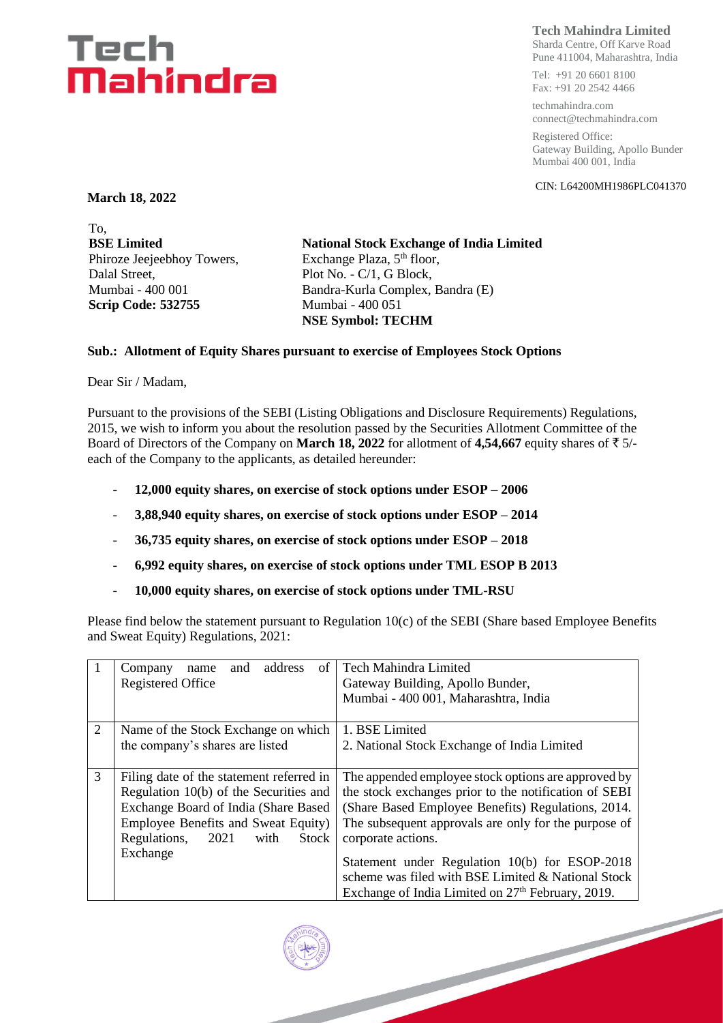## Tech Mahindra

### **Tech Mahindra Limited**

Sharda Centre, Off Karve Road Pune 411004, Maharashtra, India

Tel: +91 20 6601 8100 Fax: +91 20 2542 4466

techmahindra.com connect@techmahindra.com

Registered Office: Gateway Building, Apollo Bunder Mumbai 400 001, India

CIN: L64200MH1986PLC041370

**March 18, 2022**

To, **BSE Limited** Phiroze Jeejeebhoy Towers, Dalal Street, Mumbai - 400 001 **Scrip Code: 532755**

**National Stock Exchange of India Limited** Exchange Plaza, 5<sup>th</sup> floor, Plot No. - C/1, G Block, Bandra-Kurla Complex, Bandra (E) Mumbai - 400 051 **NSE Symbol: TECHM**

#### **Sub.: Allotment of Equity Shares pursuant to exercise of Employees Stock Options**

Dear Sir / Madam,

Pursuant to the provisions of the SEBI (Listing Obligations and Disclosure Requirements) Regulations, 2015, we wish to inform you about the resolution passed by the Securities Allotment Committee of the Board of Directors of the Company on **March 18, 2022** for allotment of 4,54,667 equity shares of  $\bar{\tau}$  5/each of the Company to the applicants, as detailed hereunder:

- **12,000 equity shares, on exercise of stock options under ESOP – 2006**
- **3,88,940 equity shares, on exercise of stock options under ESOP – 2014**
- **36,735 equity shares, on exercise of stock options under ESOP – 2018**
- **6,992 equity shares, on exercise of stock options under TML ESOP B 2013**
- **10,000 equity shares, on exercise of stock options under TML-RSU**

Please find below the statement pursuant to Regulation 10(c) of the SEBI (Share based Employee Benefits and Sweat Equity) Regulations, 2021:

| 1 | address<br>of<br>Company<br>and<br>name<br><b>Registered Office</b>                                                                                                                                        | Tech Mahindra Limited<br>Gateway Building, Apollo Bunder,<br>Mumbai - 400 001, Maharashtra, India                                                                                                                                                |  |
|---|------------------------------------------------------------------------------------------------------------------------------------------------------------------------------------------------------------|--------------------------------------------------------------------------------------------------------------------------------------------------------------------------------------------------------------------------------------------------|--|
| 2 | Name of the Stock Exchange on which<br>the company's shares are listed                                                                                                                                     | 1. BSE Limited<br>2. National Stock Exchange of India Limited                                                                                                                                                                                    |  |
| 3 | Filing date of the statement referred in<br>Regulation 10(b) of the Securities and<br>Exchange Board of India (Share Based<br>Employee Benefits and Sweat Equity)<br>Regulations,<br>2021<br>Stock<br>with | The appended employee stock options are approved by<br>the stock exchanges prior to the notification of SEBI<br>(Share Based Employee Benefits) Regulations, 2014.<br>The subsequent approvals are only for the purpose of<br>corporate actions. |  |
|   | Exchange                                                                                                                                                                                                   | Statement under Regulation 10(b) for ESOP-2018<br>scheme was filed with BSE Limited & National Stock<br>Exchange of India Limited on 27 <sup>th</sup> February, 2019.                                                                            |  |
|   |                                                                                                                                                                                                            |                                                                                                                                                                                                                                                  |  |
|   |                                                                                                                                                                                                            |                                                                                                                                                                                                                                                  |  |

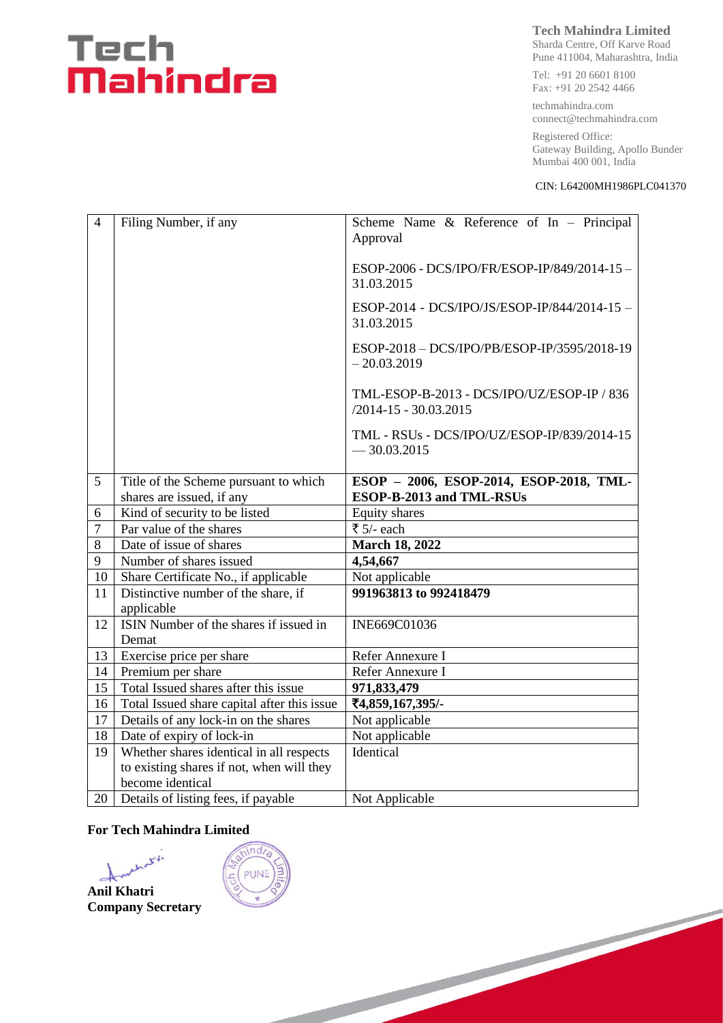# Tech<br>**Mahindra**

### **Tech Mahindra Limited**

Sharda Centre, Off Karve Road Pune 411004, Maharashtra, India

Tel: +91 20 6601 8100 Fax: +91 20 2542 4466

techmahindra.com connect@techmahindra.com

Registered Office: Gateway Building, Apollo Bunder Mumbai 400 001, India

#### CIN: L64200MH1986PLC041370

| $\overline{4}$ | Filing Number, if any                             | Scheme Name $\&$ Reference of In - Principal<br>Approval                |  |  |  |
|----------------|---------------------------------------------------|-------------------------------------------------------------------------|--|--|--|
|                |                                                   | ESOP-2006 - DCS/IPO/FR/ESOP-IP/849/2014-15-<br>31.03.2015               |  |  |  |
|                |                                                   | ESOP-2014 - DCS/IPO/JS/ESOP-IP/844/2014-15 -<br>31.03.2015              |  |  |  |
|                |                                                   | ESOP-2018 - DCS/IPO/PB/ESOP-IP/3595/2018-19<br>$-20.03.2019$            |  |  |  |
|                |                                                   | TML-ESOP-B-2013 - DCS/IPO/UZ/ESOP-IP / 836<br>$/2014 - 15 - 30.03.2015$ |  |  |  |
|                |                                                   | TML - RSUs - DCS/IPO/UZ/ESOP-IP/839/2014-15<br>$-30.03.2015$            |  |  |  |
|                |                                                   |                                                                         |  |  |  |
| 5              | Title of the Scheme pursuant to which             | ESOP - 2006, ESOP-2014, ESOP-2018, TML-                                 |  |  |  |
|                | shares are issued, if any                         | ESOP-B-2013 and TML-RSUs                                                |  |  |  |
| 6              | Kind of security to be listed                     | Equity shares                                                           |  |  |  |
| $\overline{7}$ | Par value of the shares                           | ₹ $5/-$ each                                                            |  |  |  |
| 8              | Date of issue of shares                           | <b>March 18, 2022</b>                                                   |  |  |  |
| 9              | Number of shares issued                           | 4,54,667                                                                |  |  |  |
| 10             | Share Certificate No., if applicable              | Not applicable                                                          |  |  |  |
| 11             | Distinctive number of the share, if<br>applicable | 991963813 to 992418479                                                  |  |  |  |
| 12             | ISIN Number of the shares if issued in            | INE669C01036                                                            |  |  |  |
|                | Demat                                             |                                                                         |  |  |  |
| 13             | Exercise price per share                          | Refer Annexure I                                                        |  |  |  |
| 14             | Premium per share                                 | Refer Annexure I                                                        |  |  |  |
| 15             | Total Issued shares after this issue              | 971,833,479                                                             |  |  |  |
| 16             | Total Issued share capital after this issue       | ₹4,859,167,395/-                                                        |  |  |  |
| 17             | Details of any lock-in on the shares              | Not applicable                                                          |  |  |  |
| 18             | Date of expiry of lock-in                         | Not applicable                                                          |  |  |  |
| 19             | Whether shares identical in all respects          | Identical                                                               |  |  |  |
|                | to existing shares if not, when will they         |                                                                         |  |  |  |
|                | become identical                                  |                                                                         |  |  |  |
| 20             | Details of listing fees, if payable               | Not Applicable                                                          |  |  |  |

#### **For Tech Mahindra Limited**

with  $\rightarrow$ **Anil Khatri Company Secretary**